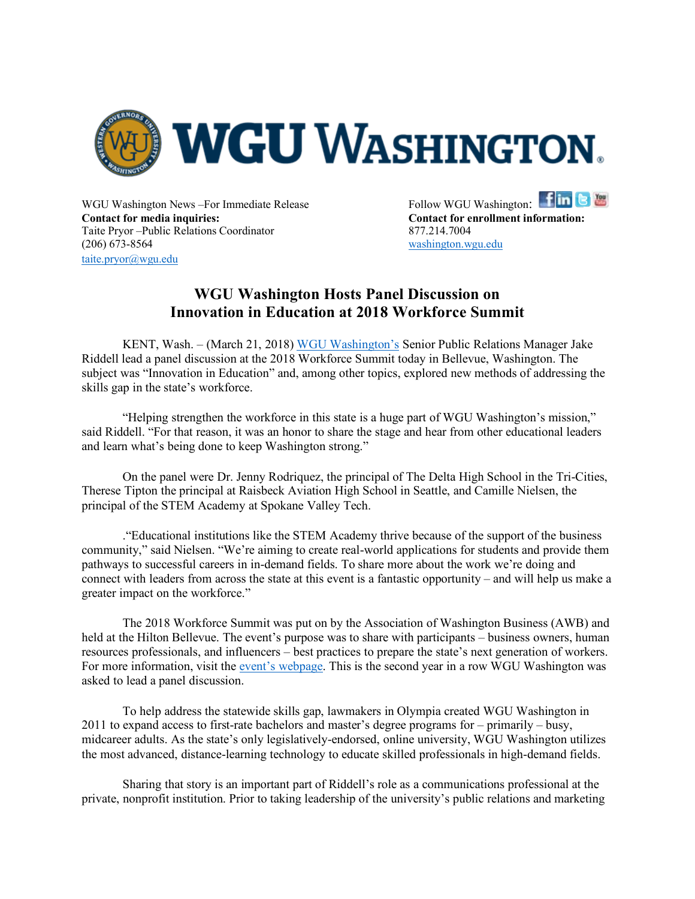

**Contact for media inquiries: Contact for enrollment information:** Taite Pryor –Public Relations Coordinator 877.214.7004 (206) 673-8564 washington.wgu.edu taite.pryor@wgu.edu

WGU Washington News –For Immediate Release Follow WGU Washington: Fin G To

## **WGU Washington Hosts Panel Discussion on Innovation in Education at 2018 Workforce Summit**

KENT, Wash. – (March 21, 2018) WGU Washington's Senior Public Relations Manager Jake Riddell lead a panel discussion at the 2018 Workforce Summit today in Bellevue, Washington. The subject was "Innovation in Education" and, among other topics, explored new methods of addressing the skills gap in the state's workforce.

"Helping strengthen the workforce in this state is a huge part of WGU Washington's mission," said Riddell. "For that reason, it was an honor to share the stage and hear from other educational leaders and learn what's being done to keep Washington strong."

On the panel were Dr. Jenny Rodriquez, the principal of The Delta High School in the Tri-Cities, Therese Tipton the principal at Raisbeck Aviation High School in Seattle, and Camille Nielsen, the principal of the STEM Academy at Spokane Valley Tech.

."Educational institutions like the STEM Academy thrive because of the support of the business community," said Nielsen. "We're aiming to create real-world applications for students and provide them pathways to successful careers in in-demand fields. To share more about the work we're doing and connect with leaders from across the state at this event is a fantastic opportunity – and will help us make a greater impact on the workforce."

The 2018 Workforce Summit was put on by the Association of Washington Business (AWB) and held at the Hilton Bellevue. The event's purpose was to share with participants – business owners, human resources professionals, and influencers – best practices to prepare the state's next generation of workers. For more information, visit the event's webpage. This is the second year in a row WGU Washington was asked to lead a panel discussion.

To help address the statewide skills gap, lawmakers in Olympia created WGU Washington in 2011 to expand access to first-rate bachelors and master's degree programs for – primarily – busy, midcareer adults. As the state's only legislatively-endorsed, online university, WGU Washington utilizes the most advanced, distance-learning technology to educate skilled professionals in high-demand fields.

Sharing that story is an important part of Riddell's role as a communications professional at the private, nonprofit institution. Prior to taking leadership of the university's public relations and marketing